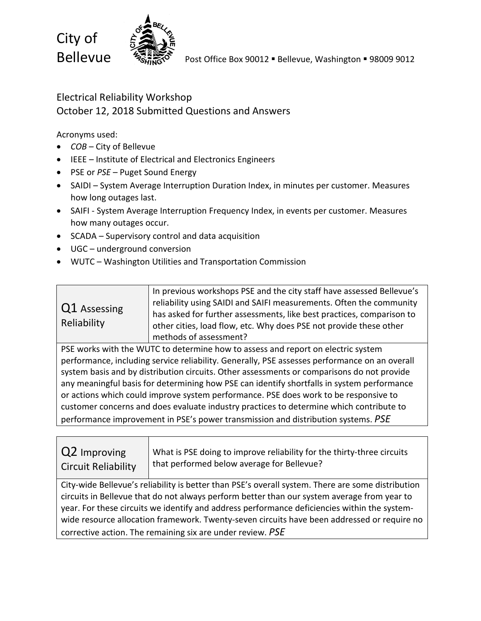

### Electrical Reliability Workshop October 12, 2018 Submitted Questions and Answers

Acronyms used:

- *COB* City of Bellevue
- IEEE Institute of Electrical and Electronics Engineers
- PSE or *PSE* Puget Sound Energy
- SAIDI System Average Interruption Duration Index, in minutes per customer. Measures how long outages last.
- SAIFI System Average Interruption Frequency Index, in events per customer. Measures how many outages occur.
- SCADA Supervisory control and data acquisition
- UGC underground conversion
- WUTC Washington Utilities and Transportation Commission

| Q1 Assessing<br>Reliability | In previous workshops PSE and the city staff have assessed Bellevue's<br>reliability using SAIDI and SAIFI measurements. Often the community<br>has asked for further assessments, like best practices, comparison to<br>other cities, load flow, etc. Why does PSE not provide these other |
|-----------------------------|---------------------------------------------------------------------------------------------------------------------------------------------------------------------------------------------------------------------------------------------------------------------------------------------|
|                             | methods of assessment?                                                                                                                                                                                                                                                                      |

PSE works with the WUTC to determine how to assess and report on electric system performance, including service reliability. Generally, PSE assesses performance on an overall system basis and by distribution circuits. Other assessments or comparisons do not provide any meaningful basis for determining how PSE can identify shortfalls in system performance or actions which could improve system performance. PSE does work to be responsive to customer concerns and does evaluate industry practices to determine which contribute to performance improvement in PSE's power transmission and distribution systems. *PSE*

| Q2 Improving               | √ What is PSE doing to improve reliability for the thirty-three circuits |
|----------------------------|--------------------------------------------------------------------------|
| <b>Circuit Reliability</b> | that performed below average for Bellevue?                               |

City-wide Bellevue's reliability is better than PSE's overall system. There are some distribution circuits in Bellevue that do not always perform better than our system average from year to year. For these circuits we identify and address performance deficiencies within the systemwide resource allocation framework. Twenty-seven circuits have been addressed or require no corrective action. The remaining six are under review. *PSE*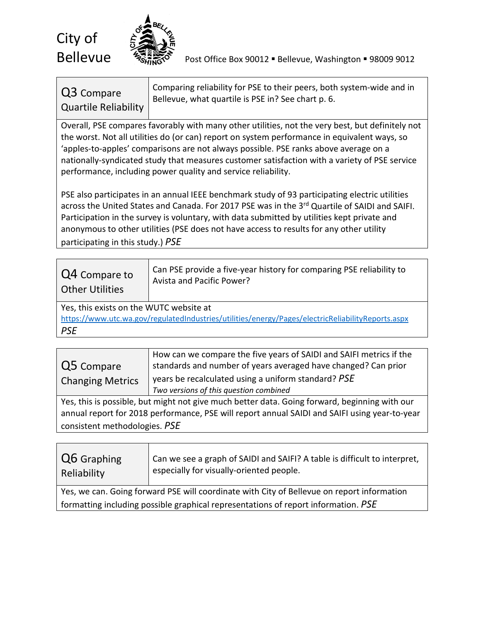

**Bellevue**  $\frac{1}{2}$   $\frac{1}{2}$  Post Office Box 90012 **·** Bellevue, Washington **·** 98009 9012

## Q3 Compare Quartile Reliability

Comparing reliability for PSE to their peers, both system-wide and in Bellevue, what quartile is PSE in? See chart p. 6.

Overall, PSE compares favorably with many other utilities, not the very best, but definitely not the worst. Not all utilities do (or can) report on system performance in equivalent ways, so 'apples-to-apples' comparisons are not always possible. PSE ranks above average on a nationally-syndicated study that measures customer satisfaction with a variety of PSE service performance, including power quality and service reliability.

PSE also participates in an annual IEEE benchmark study of 93 participating electric utilities across the United States and Canada. For 2017 PSE was in the 3<sup>rd</sup> Quartile of SAIDI and SAIFI. Participation in the survey is voluntary, with data submitted by utilities kept private and anonymous to other utilities (PSE does not have access to results for any other utility participating in this study.) *PSE*

| Q4 Compare to<br><b>Other Utilities</b>                                                           | Can PSE provide a five-year history for comparing PSE reliability to<br>Avista and Pacific Power? |  |
|---------------------------------------------------------------------------------------------------|---------------------------------------------------------------------------------------------------|--|
| Yes, this exists on the WUTC website at                                                           |                                                                                                   |  |
| https://www.utc.wa.gov/regulatedIndustries/utilities/energy/Pages/electricReliabilityReports.aspx |                                                                                                   |  |
| <b>PSE</b>                                                                                        |                                                                                                   |  |

| Q5 Compare<br><b>Changing Metrics</b>                                                                                                                                                          | How can we compare the five years of SAIDI and SAIFI metrics if the<br>standards and number of years averaged have changed? Can prior<br>years be recalculated using a uniform standard? PSE<br>Two versions of this question combined |
|------------------------------------------------------------------------------------------------------------------------------------------------------------------------------------------------|----------------------------------------------------------------------------------------------------------------------------------------------------------------------------------------------------------------------------------------|
| Yes, this is possible, but might not give much better data. Going forward, beginning with our<br>annual report for 2018 performance, PSE will report annual SAIDI and SAIFI using year-to-year |                                                                                                                                                                                                                                        |
| consistent methodologies. PSE                                                                                                                                                                  |                                                                                                                                                                                                                                        |

| Q6 Graphing<br>Reliability                                                                 | Can we see a graph of SAIDI and SAIFI? A table is difficult to interpret,<br>especially for visually-oriented people. |
|--------------------------------------------------------------------------------------------|-----------------------------------------------------------------------------------------------------------------------|
| Yes, we can. Going forward PSE will coordinate with City of Bellevue on report information |                                                                                                                       |
| formatting including possible graphical representations of report information. PSE         |                                                                                                                       |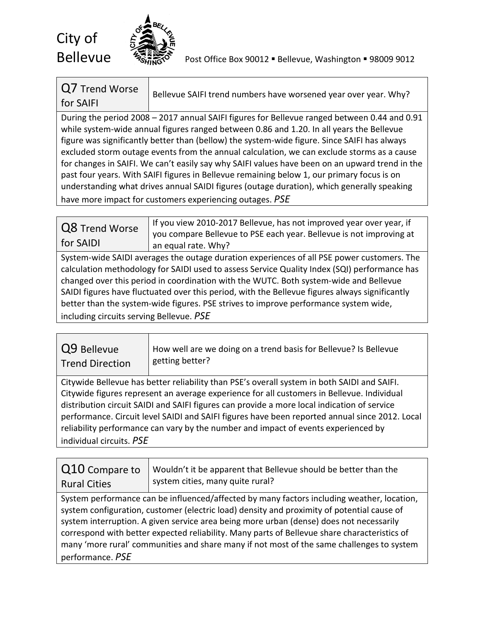

**Bellevue**  $\frac{1}{2}$   $\frac{1}{2}$   $\frac{1}{2}$  Post Office Box 90012 **Bellevue, Washington = 98009 9012** 

| Q7 Trend Worse | Bellevue SAIFI trend numbers have worsened year over year. Why? |
|----------------|-----------------------------------------------------------------|
| for SAIFI      |                                                                 |

During the period 2008 – 2017 annual SAIFI figures for Bellevue ranged between 0.44 and 0.91 while system-wide annual figures ranged between 0.86 and 1.20. In all years the Bellevue figure was significantly better than (bellow) the system-wide figure. Since SAIFI has always excluded storm outage events from the annual calculation, we can exclude storms as a cause for changes in SAIFI. We can't easily say why SAIFI values have been on an upward trend in the past four years. With SAIFI figures in Bellevue remaining below 1, our primary focus is on understanding what drives annual SAIDI figures (outage duration), which generally speaking have more impact for customers experiencing outages. *PSE*

Q8 Trend Worse for SAIDI If you view 2010-2017 Bellevue, has not improved year over year, if you compare Bellevue to PSE each year. Bellevue is not improving at an equal rate. Why?

System-wide SAIDI averages the outage duration experiences of all PSE power customers. The calculation methodology for SAIDI used to assess Service Quality Index (SQI) performance has changed over this period in coordination with the WUTC. Both system-wide and Bellevue SAIDI figures have fluctuated over this period, with the Bellevue figures always significantly better than the system-wide figures. PSE strives to improve performance system wide, including circuits serving Bellevue. *PSE*

| Q9 Bellevue            | How well are we doing on a trend basis for Bellevue? Is Bellevue |
|------------------------|------------------------------------------------------------------|
| <b>Trend Direction</b> | getting better?                                                  |

Citywide Bellevue has better reliability than PSE's overall system in both SAIDI and SAIFI. Citywide figures represent an average experience for all customers in Bellevue. Individual distribution circuit SAIDI and SAIFI figures can provide a more local indication of service performance. Circuit level SAIDI and SAIFI figures have been reported annual since 2012. Local reliability performance can vary by the number and impact of events experienced by individual circuits. *PSE*

| Q10 Compare to<br><b>Rural Cities</b>                                                        | Wouldn't it be apparent that Bellevue should be better than the<br>system cities, many quite rural? |
|----------------------------------------------------------------------------------------------|-----------------------------------------------------------------------------------------------------|
| System performance can be influenced/affected by many factors including weather, location,   |                                                                                                     |
| system configuration, customer (electric load) density and proximity of potential cause of   |                                                                                                     |
| system interruption. A given service area being more urban (dense) does not necessarily      |                                                                                                     |
| correspond with better expected reliability. Many parts of Bellevue share characteristics of |                                                                                                     |
| many 'more rural' communities and share many if not most of the same challenges to system    |                                                                                                     |
| performance. PSE                                                                             |                                                                                                     |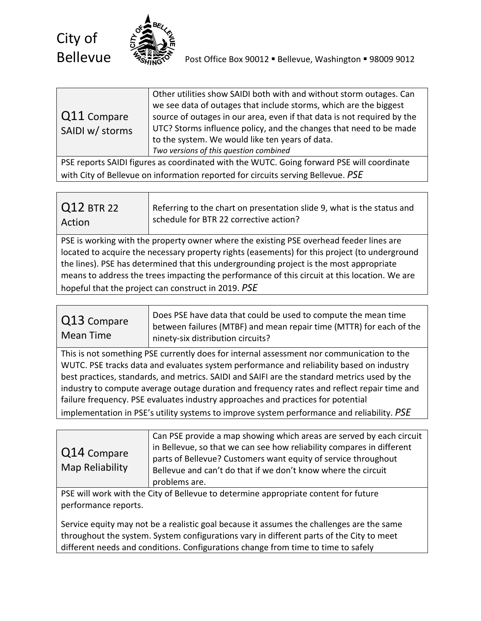

|                     | Other utilities show SAIDI both with and without storm outages. Can     |
|---------------------|-------------------------------------------------------------------------|
|                     | we see data of outages that include storms, which are the biggest       |
| $\vert$ Q11 Compare | source of outages in our area, even if that data is not required by the |
| SAIDI w/ storms     | UTC? Storms influence policy, and the changes that need to be made      |
|                     | to the system. We would like ten years of data.                         |
|                     | Two versions of this question combined                                  |
|                     |                                                                         |

PSE reports SAIDI figures as coordinated with the WUTC. Going forward PSE will coordinate with City of Bellevue on information reported for circuits serving Bellevue. *PSE*

| Q12 BTR 22 | Referring to the chart on presentation slide 9, what is the status and |
|------------|------------------------------------------------------------------------|
| Action     | schedule for BTR 22 corrective action?                                 |

PSE is working with the property owner where the existing PSE overhead feeder lines are located to acquire the necessary property rights (easements) for this project (to underground the lines). PSE has determined that this undergrounding project is the most appropriate means to address the trees impacting the performance of this circuit at this location. We are hopeful that the project can construct in 2019. *PSE*

| Q13 Compare<br>Mean Time | Does PSE have data that could be used to compute the mean time<br>between failures (MTBF) and mean repair time (MTTR) for each of the<br>ninety-six distribution circuits? |
|--------------------------|----------------------------------------------------------------------------------------------------------------------------------------------------------------------------|
|--------------------------|----------------------------------------------------------------------------------------------------------------------------------------------------------------------------|

This is not something PSE currently does for internal assessment nor communication to the WUTC. PSE tracks data and evaluates system performance and reliability based on industry best practices, standards, and metrics. SAIDI and SAIFI are the standard metrics used by the industry to compute average outage duration and frequency rates and reflect repair time and failure frequency. PSE evaluates industry approaches and practices for potential implementation in PSE's utility systems to improve system performance and reliability. *PSE*

| $\sqrt{Q}$ 14 Compare<br>Map Reliability | Can PSE provide a map showing which areas are served by each circuit<br>in Bellevue, so that we can see how reliability compares in different<br>parts of Bellevue? Customers want equity of service throughout<br>Bellevue and can't do that if we don't know where the circuit<br>problems are. |
|------------------------------------------|---------------------------------------------------------------------------------------------------------------------------------------------------------------------------------------------------------------------------------------------------------------------------------------------------|
|------------------------------------------|---------------------------------------------------------------------------------------------------------------------------------------------------------------------------------------------------------------------------------------------------------------------------------------------------|

PSE will work with the City of Bellevue to determine appropriate content for future performance reports.

Service equity may not be a realistic goal because it assumes the challenges are the same throughout the system. System configurations vary in different parts of the City to meet different needs and conditions. Configurations change from time to time to safely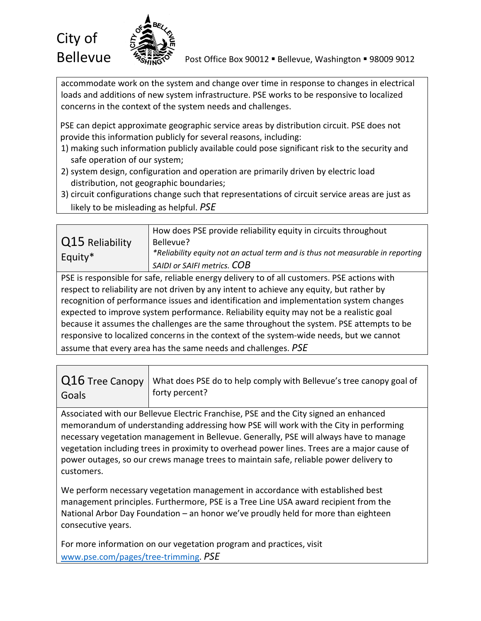

accommodate work on the system and change over time in response to changes in electrical loads and additions of new system infrastructure. PSE works to be responsive to localized concerns in the context of the system needs and challenges.

PSE can depict approximate geographic service areas by distribution circuit. PSE does not provide this information publicly for several reasons, including:

- 1) making such information publicly available could pose significant risk to the security and safe operation of our system;
- 2) system design, configuration and operation are primarily driven by electric load distribution, not geographic boundaries;
- 3) circuit configurations change such that representations of circuit service areas are just as likely to be misleading as helpful. *PSE*

| Q15 Reliability<br>Equity* | How does PSE provide reliability equity in circuits throughout<br>Bellevue?<br>*Reliability equity not an actual term and is thus not measurable in reporting<br>SAIDI or SAIFI metrics. COB |
|----------------------------|----------------------------------------------------------------------------------------------------------------------------------------------------------------------------------------------|
|                            |                                                                                                                                                                                              |

PSE is responsible for safe, reliable energy delivery to of all customers. PSE actions with respect to reliability are not driven by any intent to achieve any equity, but rather by recognition of performance issues and identification and implementation system changes expected to improve system performance. Reliability equity may not be a realistic goal because it assumes the challenges are the same throughout the system. PSE attempts to be responsive to localized concerns in the context of the system-wide needs, but we cannot assume that every area has the same needs and challenges. *PSE*

|       | $Q16$ Tree Canopy   What does PSE do to help comply with Bellevue's tree canopy goal of |
|-------|-----------------------------------------------------------------------------------------|
| Goals | forty percent?                                                                          |

Associated with our Bellevue Electric Franchise, PSE and the City signed an enhanced memorandum of understanding addressing how PSE will work with the City in performing necessary vegetation management in Bellevue. Generally, PSE will always have to manage vegetation including trees in proximity to overhead power lines. Trees are a major cause of power outages, so our crews manage trees to maintain safe, reliable power delivery to customers.

We perform necessary vegetation management in accordance with established best management principles. Furthermore, PSE is a Tree Line USA award recipient from the National Arbor Day Foundation – an honor we've proudly held for more than eighteen consecutive years.

For more information on our vegetation program and practices, visit [www.pse.com/pages/tree-trimming.](http://www.pse.com/pages/tree-trimming) *PSE*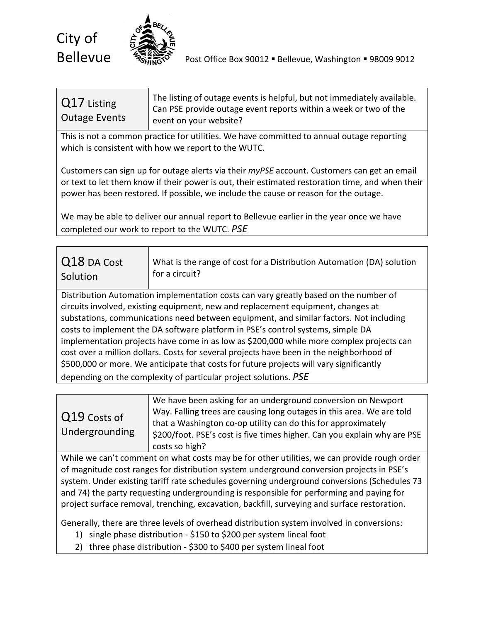

#### Q17 Listing Outage Events The listing of outage events is helpful, but not immediately available. Can PSE provide outage event reports within a week or two of the event on your website?

This is not a common practice for utilities. We have committed to annual outage reporting which is consistent with how we report to the WUTC.

Customers can sign up for outage alerts via their *myPSE* account. Customers can get an email or text to let them know if their power is out, their estimated restoration time, and when their power has been restored. If possible, we include the cause or reason for the outage.

We may be able to deliver our annual report to Bellevue earlier in the year once we have completed our work to report to the WUTC. *PSE*

| Q18 DA Cost | What is the range of cost for a Distribution Automation (DA) solution |
|-------------|-----------------------------------------------------------------------|
| Solution    | $\vert$ for a circuit?                                                |

Distribution Automation implementation costs can vary greatly based on the number of circuits involved, existing equipment, new and replacement equipment, changes at substations, communications need between equipment, and similar factors. Not including costs to implement the DA software platform in PSE's control systems, simple DA implementation projects have come in as low as \$200,000 while more complex projects can cost over a million dollars. Costs for several projects have been in the neighborhood of \$500,000 or more. We anticipate that costs for future projects will vary significantly depending on the complexity of particular project solutions. *PSE*

| Q19 Costs of<br>Undergrounding | We have been asking for an underground conversion on Newport<br>Way. Falling trees are causing long outages in this area. We are told<br>that a Washington co-op utility can do this for approximately<br>\$200/foot. PSE's cost is five times higher. Can you explain why are PSE<br>costs so high? |
|--------------------------------|------------------------------------------------------------------------------------------------------------------------------------------------------------------------------------------------------------------------------------------------------------------------------------------------------|
|--------------------------------|------------------------------------------------------------------------------------------------------------------------------------------------------------------------------------------------------------------------------------------------------------------------------------------------------|

While we can't comment on what costs may be for other utilities, we can provide rough order of magnitude cost ranges for distribution system underground conversion projects in PSE's system. Under existing tariff rate schedules governing underground conversions (Schedules 73 and 74) the party requesting undergrounding is responsible for performing and paying for project surface removal, trenching, excavation, backfill, surveying and surface restoration.

Generally, there are three levels of overhead distribution system involved in conversions:

- 1) single phase distribution \$150 to \$200 per system lineal foot
- 2) three phase distribution \$300 to \$400 per system lineal foot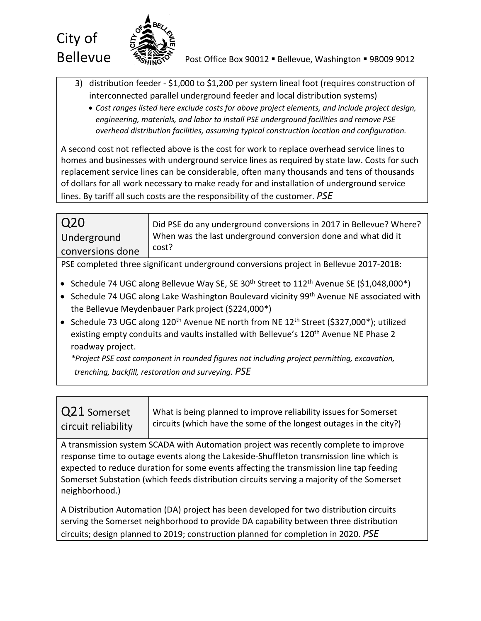

**Bellevue** *Post Office Box 90012* Bellevue, Washington **- 98009 9012** 

- 3) distribution feeder \$1,000 to \$1,200 per system lineal foot (requires construction of interconnected parallel underground feeder and local distribution systems)
	- *Cost ranges listed here exclude costs for above project elements, and include project design, engineering, materials, and labor to install PSE underground facilities and remove PSE overhead distribution facilities, assuming typical construction location and configuration.*

A second cost not reflected above is the cost for work to replace overhead service lines to homes and businesses with underground service lines as required by state law. Costs for such replacement service lines can be considerable, often many thousands and tens of thousands of dollars for all work necessary to make ready for and installation of underground service lines. By tariff all such costs are the responsibility of the customer. *PSE*

| Q20                                                                                    | Did PSE do any underground conversions in 2017 in Bellevue? Where?     |
|----------------------------------------------------------------------------------------|------------------------------------------------------------------------|
| Underground                                                                            | When was the last underground conversion done and what did it<br>cost? |
| conversions done                                                                       |                                                                        |
| PSE completed three significant underground conversions project in Bellevue 2017-2018: |                                                                        |

- Schedule 74 UGC along Bellevue Way SE, SE 30<sup>th</sup> Street to 112<sup>th</sup> Avenue SE (\$1,048,000\*)
- Schedule 74 UGC along Lake Washington Boulevard vicinity 99th Avenue NE associated with the Bellevue Meydenbauer Park project (\$224,000\*)
- Schedule 73 UGC along 120<sup>th</sup> Avenue NE north from NE 12<sup>th</sup> Street (\$327,000\*); utilized existing empty conduits and vaults installed with Bellevue's 120<sup>th</sup> Avenue NE Phase 2 roadway project.

*\*Project PSE cost component in rounded figures not including project permitting, excavation, trenching, backfill, restoration and surveying. PSE*

| Q21 Somerset<br>circuit reliability                                                                                                                                                                                                                                                                                                                                                       | What is being planned to improve reliability issues for Somerset<br>circuits (which have the some of the longest outages in the city?) |
|-------------------------------------------------------------------------------------------------------------------------------------------------------------------------------------------------------------------------------------------------------------------------------------------------------------------------------------------------------------------------------------------|----------------------------------------------------------------------------------------------------------------------------------------|
| A transmission system SCADA with Automation project was recently complete to improve<br>response time to outage events along the Lakeside-Shuffleton transmission line which is<br>expected to reduce duration for some events affecting the transmission line tap feeding<br>Somerset Substation (which feeds distribution circuits serving a majority of the Somerset<br>neighborhood.) |                                                                                                                                        |
|                                                                                                                                                                                                                                                                                                                                                                                           |                                                                                                                                        |

A Distribution Automation (DA) project has been developed for two distribution circuits serving the Somerset neighborhood to provide DA capability between three distribution circuits; design planned to 2019; construction planned for completion in 2020. *PSE*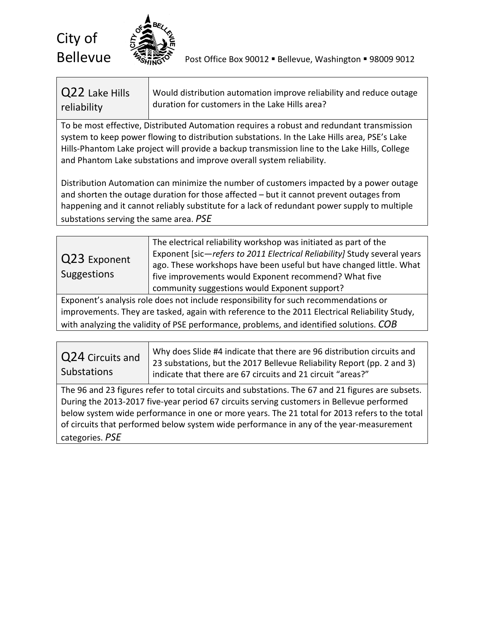

**Bellevue**  $\frac{1}{2}$   $\frac{1}{2}$  Post Office Box 90012 **Bellevue, Washington = 98009 9012** 

| Q22 Lake Hills | Would distribution automation improve reliability and reduce outage |
|----------------|---------------------------------------------------------------------|
| reliability    | duration for customers in the Lake Hills area?                      |

To be most effective, Distributed Automation requires a robust and redundant transmission system to keep power flowing to distribution substations. In the Lake Hills area, PSE's Lake Hills-Phantom Lake project will provide a backup transmission line to the Lake Hills, College and Phantom Lake substations and improve overall system reliability.

Distribution Automation can minimize the number of customers impacted by a power outage and shorten the outage duration for those affected – but it cannot prevent outages from happening and it cannot reliably substitute for a lack of redundant power supply to multiple substations serving the same area. *PSE*

| The electrical reliability workshop was initiated as part of the<br>Exponent [sic-refers to 2011 Electrical Reliability] Study several years<br>Q23 Exponent<br>ago. These workshops have been useful but have changed little. What<br>Suggestions<br>five improvements would Exponent recommend? What five<br>community suggestions would Exponent support? |  |
|--------------------------------------------------------------------------------------------------------------------------------------------------------------------------------------------------------------------------------------------------------------------------------------------------------------------------------------------------------------|--|
|--------------------------------------------------------------------------------------------------------------------------------------------------------------------------------------------------------------------------------------------------------------------------------------------------------------------------------------------------------------|--|

Exponent's analysis role does not include responsibility for such recommendations or improvements. They are tasked, again with reference to the 2011 Electrical Reliability Study, with analyzing the validity of PSE performance, problems, and identified solutions. *COB*

| Q24 Circuits and<br><b>Substations</b> | Why does Slide #4 indicate that there are 96 distribution circuits and<br>23 substations, but the 2017 Bellevue Reliability Report (pp. 2 and 3)<br>indicate that there are 67 circuits and 21 circuit "areas?" |
|----------------------------------------|-----------------------------------------------------------------------------------------------------------------------------------------------------------------------------------------------------------------|
|----------------------------------------|-----------------------------------------------------------------------------------------------------------------------------------------------------------------------------------------------------------------|

The 96 and 23 figures refer to total circuits and substations. The 67 and 21 figures are subsets. During the 2013-2017 five-year period 67 circuits serving customers in Bellevue performed below system wide performance in one or more years. The 21 total for 2013 refers to the total of circuits that performed below system wide performance in any of the year-measurement categories. *PSE*